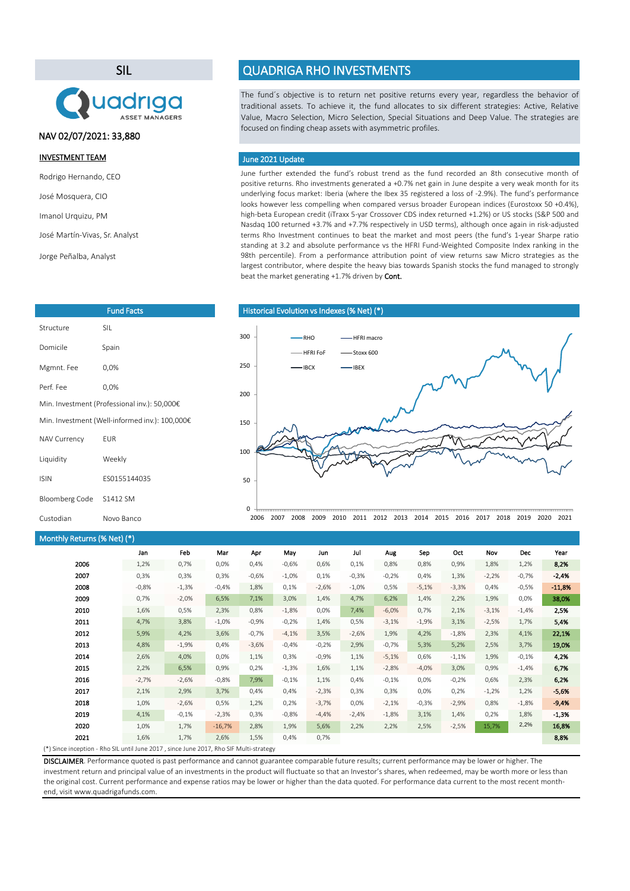SIL



# NAV 02/07/2021: 33,880

#### INVESTMENT TEAM

Rodrigo Hernando, CEO

José Mosquera, CIO

Imanol Urquizu, PM

José Martín-Vivas, Sr. Analyst

Jorge Peñalba, Analyst

| <b>Fund Facts</b>                              |              |  |  |  |  |
|------------------------------------------------|--------------|--|--|--|--|
| Structure                                      | <b>SII</b>   |  |  |  |  |
| Domicile                                       | Spain        |  |  |  |  |
| Mgmnt. Fee                                     | 0.0%         |  |  |  |  |
| Perf Fee                                       | 0.0%         |  |  |  |  |
| Min. Investment (Professional inv.): 50,000€   |              |  |  |  |  |
| Min. Investment (Well-informed inv.): 100,000€ |              |  |  |  |  |
| <b>NAV Currency</b>                            | FUR          |  |  |  |  |
| Liquidity                                      | Weekly       |  |  |  |  |
| <b>ISIN</b>                                    | FS0155144035 |  |  |  |  |
| Bloomberg Code                                 | S1412 SM     |  |  |  |  |
| Custodian                                      | Novo Banco   |  |  |  |  |

# QUADRIGA RHO INVESTMENTS

The fund´s objective is to return net positive returns every year, regardless the behavior of traditional assets. To achieve it, the fund allocates to six different strategies: Active, Relative Value, Macro Selection, Micro Selection, Special Situations and Deep Value. The strategies are focused on finding cheap assets with asymmetric profiles.

#### June 2021 Update

June further extended the fund's robust trend as the fund recorded an 8th consecutive month of positive returns. Rho investments generated a +0.7% net gain in June despite a very weak month for its underlying focus market: Iberia (where the Ibex 35 registered a loss of -2.9%). The fund's performance looks however less compelling when compared versus broader European indices (Eurostoxx 50 +0.4%), high-beta European credit (iTraxx 5-yar Crossover CDS index returned +1.2%) or US stocks (S&P 500 and Nasdaq 100 returned +3.7% and +7.7% respectively in USD terms), although once again in risk-adjusted terms Rho Investment continues to beat the market and most peers (the fund's 1-year Sharpe ratio standing at 3.2 and absolute performance vs the HFRI Fund-Weighted Composite Index ranking in the 98th percentile). From a performance attribution point of view returns saw Micro strategies as the largest contributor, where despite the heavy bias towards Spanish stocks the fund managed to strongly beat the market generating +1.7% driven by Cont.



# Monthly Returns (% Net) (\*)

|                                                                                        | .       |         |          |         |         |         |         |         |         |         |         |            |          |
|----------------------------------------------------------------------------------------|---------|---------|----------|---------|---------|---------|---------|---------|---------|---------|---------|------------|----------|
|                                                                                        | Jan     | Feb     | Mar      | Apr     | May     | Jun     | Jul     | Aug     | Sep     | Oct     | Nov     | <b>Dec</b> | Year     |
| 2006                                                                                   | 1,2%    | 0,7%    | 0,0%     | 0,4%    | $-0.6%$ | 0,6%    | 0,1%    | 0,8%    | 0,8%    | 0,9%    | 1,8%    | 1,2%       | 8,2%     |
| 2007                                                                                   | 0,3%    | 0,3%    | 0,3%     | $-0,6%$ | $-1,0%$ | 0,1%    | $-0,3%$ | $-0,2%$ | 0,4%    | 1,3%    | $-2,2%$ | $-0,7%$    | $-2,4%$  |
| 2008                                                                                   | $-0,8%$ | $-1,3%$ | $-0,4%$  | 1,8%    | 0,1%    | $-2,6%$ | $-1,0%$ | 0,5%    | $-5,1%$ | $-3,3%$ | 0,4%    | $-0,5%$    | $-11,8%$ |
| 2009                                                                                   | 0,7%    | $-2,0%$ | 6,5%     | 7,1%    | 3,0%    | 1,4%    | 4,7%    | 6,2%    | 1,4%    | 2,2%    | 1,9%    | 0,0%       | 38,0%    |
| 2010                                                                                   | 1,6%    | 0,5%    | 2,3%     | 0,8%    | $-1,8%$ | 0,0%    | 7,4%    | $-6,0%$ | 0,7%    | 2,1%    | $-3,1%$ | $-1,4%$    | 2,5%     |
| 2011                                                                                   | 4,7%    | 3,8%    | $-1,0%$  | $-0,9%$ | $-0,2%$ | 1,4%    | 0,5%    | $-3,1%$ | $-1,9%$ | 3,1%    | $-2,5%$ | 1,7%       | 5,4%     |
| 2012                                                                                   | 5,9%    | 4,2%    | 3,6%     | $-0,7%$ | $-4,1%$ | 3,5%    | $-2,6%$ | 1,9%    | 4,2%    | $-1,8%$ | 2,3%    | 4,1%       | 22,1%    |
| 2013                                                                                   | 4,8%    | $-1,9%$ | 0,4%     | $-3,6%$ | $-0,4%$ | $-0,2%$ | 2,9%    | $-0,7%$ | 5,3%    | 5,2%    | 2,5%    | 3,7%       | 19,0%    |
| 2014                                                                                   | 2,6%    | 4,0%    | 0,0%     | 1,1%    | 0,3%    | $-0,9%$ | 1,1%    | $-5,1%$ | 0,6%    | $-1,1%$ | 1,9%    | $-0,1%$    | 4,2%     |
| 2015                                                                                   | 2,2%    | 6,5%    | 0,9%     | 0,2%    | $-1,3%$ | 1,6%    | 1,1%    | $-2,8%$ | $-4,0%$ | 3,0%    | 0,9%    | $-1,4%$    | 6,7%     |
| 2016                                                                                   | $-2,7%$ | $-2,6%$ | $-0,8%$  | 7,9%    | $-0,1%$ | 1,1%    | 0,4%    | $-0,1%$ | 0,0%    | $-0,2%$ | 0,6%    | 2,3%       | 6,2%     |
| 2017                                                                                   | 2,1%    | 2,9%    | 3,7%     | 0,4%    | 0,4%    | $-2,3%$ | 0,3%    | 0,3%    | 0,0%    | 0,2%    | $-1,2%$ | 1,2%       | $-5,6%$  |
| 2018                                                                                   | 1,0%    | $-2,6%$ | 0,5%     | 1,2%    | 0,2%    | $-3,7%$ | 0,0%    | $-2,1%$ | $-0,3%$ | $-2,9%$ | 0,8%    | $-1,8%$    | $-9,4%$  |
| 2019                                                                                   | 4,1%    | $-0,1%$ | $-2,3%$  | 0,3%    | $-0,8%$ | $-4,4%$ | $-2,4%$ | $-1,8%$ | 3,1%    | 1,4%    | 0,2%    | 1,8%       | $-1,3%$  |
| 2020                                                                                   | 1,0%    | 1,7%    | $-16,7%$ | 2,8%    | 1,9%    | 5,6%    | 2,2%    | 2,2%    | 2,5%    | $-2,5%$ | 15,7%   | 2,2%       | 16,8%    |
| 2021                                                                                   | 1,6%    | 1,7%    | 2,6%     | 1,5%    | 0,4%    | 0,7%    |         |         |         |         |         |            | 8,8%     |
| (*) Since inception - Rho SIL until June 2017, since June 2017, Rho SIF Multi-strategy |         |         |          |         |         |         |         |         |         |         |         |            |          |

DISCLAIMER. Performance quoted is past performance and cannot guarantee comparable future results; current performance may be lower or higher. The investment return and principal value of an investments in the product will fluctuate so that an Investor's shares, when redeemed, may be worth more or less than the original cost. Current performance and expense ratios may be lower or higher than the data quoted. For performance data current to the most recent monthend, visit www.quadrigafunds.com.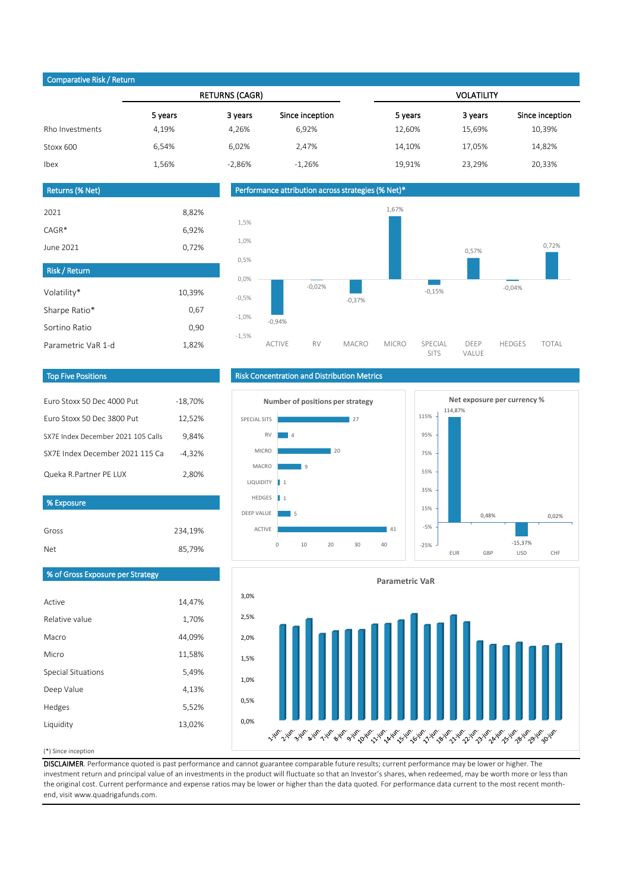# Comparative Risk / Return

|                 |         | <b>RETURNS (CAGR)</b> |                 |         | <b>VOLATILITY</b> |                 |
|-----------------|---------|-----------------------|-----------------|---------|-------------------|-----------------|
|                 | 5 years | 3 years               | Since inception | 5 years | 3 years           | Since inception |
| Rho Investments | 4,19%   | 4,26%                 | 6,92%           | 12,60%  | 15,69%            | 10,39%          |
| Stoxx 600       | 6.54%   | 6,02%                 | 2,47%           | 14,10%  | 17,05%            | 14,82%          |
| Ibex            | 1,56%   | $-2.86%$              | $-1.26%$        | 19.91%  | 23.29%            | 20,33%          |
|                 |         |                       |                 |         |                   |                 |

### Returns (% Net)

| 2021                 | 8,82%  |
|----------------------|--------|
| $CAGR*$              | 6,92%  |
| June 2021            | 0,72%  |
| <b>Risk / Return</b> |        |
| Volatility*          | 10,39% |
| Sharpe Ratio*        |        |
|                      | 0,67   |
| Sortino Ratio        | 0,90   |

Performance attribution across strategies (% Net)\*



#### Top Five Positions

| Furo Stoxx 50 Dec 4000 Put         | $-18,70%$ |
|------------------------------------|-----------|
| Furo Stoxx 50 Dec 3800 Put         | 12,52%    |
| SX7F Index December 2021 105 Calls | 9.84%     |
| SX7F Index December 2021 115 Cal   | $-4.32%$  |
| Queka R.Partner PE LUX             | 2.80%     |

#### % Exposure

Active

Macro Micro

Relative value

Special Situations Deep Value Hedges Liquidity

| Gross | 234,19% |
|-------|---------|
| Net   | 85,79%  |

% of Gross Exposure per Strategy

14,47% 1,70%

44,09% 11,58% 5,49% 4,13% 5,52% 13,02%

# Risk Concentration and Distribution Metrics





# **Parametric VaR** 3,0% 2,5% 2,0% 1,5% 1,0% 0,5% 0,0% من المستمر المستمر المستمر المستمر المستمر المستمر المستمر المستمر المستمر المستمر المستمر المستمر المستمر المستمر المستمر المستمر المستمر

#### (\*) Since inception

DISCLAIMER. Performance quoted is past performance and cannot guarantee comparable future results; current performance may be lower or higher. The investment return and principal value of an investments in the product will fluctuate so that an Investor's shares, when redeemed, may be worth more or less than the original cost. Current performance and expense ratios may be lower or higher than the data quoted. For performance data current to the most recent monthend, visit www.quadrigafunds.com.